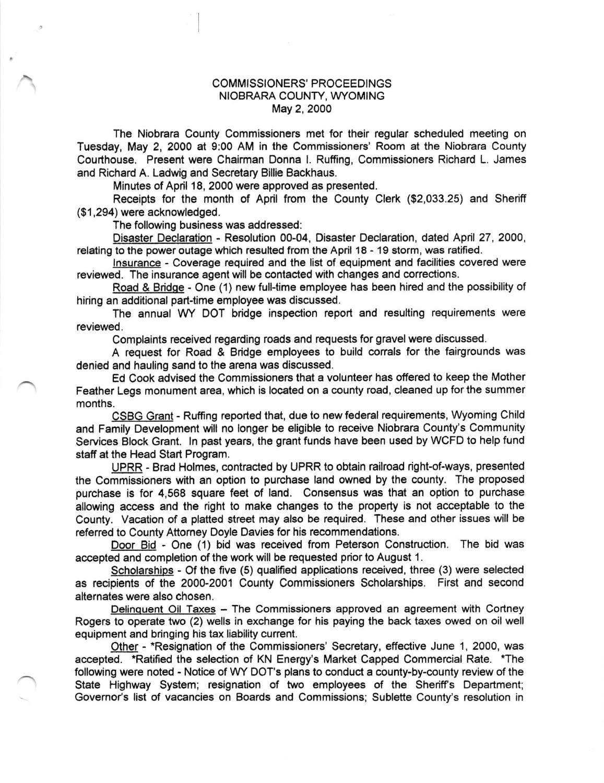## COMMISSIONERS' PROCEEDINGS NIOBRARA COUNTY, WYOMING May 2, 2000

The Niobrara County Commissioners met for lheir regular scheduled meeting on Tuesday, May 2, 2000 at 9:00 AM in the Commissioners' Room at the Niobrara County Courlhouse. Present were Chairman Donna l. Ruffing, Commissioners Richard L. James and Richard A. Ladwig and Secretary Billie Backhaus.

Minutes of April 18, 2000 were approved as presenled.

Receipts for the month of April from the County Clerk (\$2,033.25) and Sheriff (\$1,294) were acknowledged.

The following business was addressed:

Disaster Declaration - Resolution 00-04, Disaster Declaration, dated April 27, 2ooo, relating to the power outage which resulted from the April 18 - 19 storm, was ratified.

Insurance - Coverage required and the list of equipment and facilities covered were reviewed. The insurance agent will be contacted with changes and corrections.

Road & Bridge - One (1) new full-time employee has been hired and the possibility of hiring an additional part-time employee was discussed.

The annual WY DOT bridge inspection report and resulting requirements were reviewed.

Complaints received regarding roads and requests for gravel were discussed.

A request for Road & Bridge employees to build corals for the fairgrounds was denied and hauling sand to the arena was discussed.

Ed Cook advised the Commissioners that a volunteer has offered to keep the Mother Feather Legs monument area, which is located on a county road, cleaned up for the summer months.

CSBG Grant - Ruffing reported that, due to new federal requirements, Wyoming Child and Family Development will no longer be eligible to receive Niobrara County's Community Services Block Grant. ln past years, the grant funds have been used by WCFD to help fund staff at the Head Start Program.

UPRR - Brad Holmes, contracted by UPRR to obtain railroad right-of-ways, presented the Commissioners with an option to purchase land owned by the county. The proposed purchase is for 4,568 square feet of land. Consensus was that an option to purchase allowing access and the right to make changes to the property is not acceptable to the County. Vacation of a platted street may also be required. These and other issues will be referred to County Attorney Ooyle Davies for his recommendations.

Door Bid - One (1) bid was received from Peterson Construction. The bid was accepted and completion of the work will be requested prior to August 1.

Scholarships - Of the five (5) qualified applications received, three (3) were selected as recipients of the 2000-2001 County Commissioners Scholarships. First and second alternates were also chosen.

Delinquent Oil Taxes - The Commissioners approved an agreement with Cortney Rogers to operate two (2) wells in exchange for his paying the back taxes owed on oil well equipment and bringing his tax liability current.

Other - \*Resignation of the Commissioners' Secretary, etfective June 1, 2000, was accepted. \*Ratified the selection of KN Energy's Market Capped Commercial Rate. \*The following were noted - Notice of WY DOT'S plans to conduct a county-by-county review of the State Highway System; resignation of two employees of the Sheriff's Department; Governor's list of vacancies on Boards and Commissions; Sublette County's resolution in